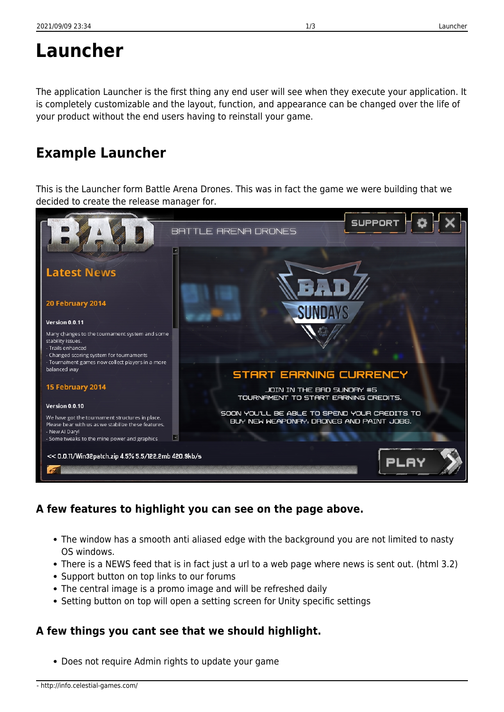### **A few things you cant see that we should highlight.**

The central image is a promo image and will be refreshed daily

• Setting button on top will open a setting screen for Unity specific settings

**A few features to highlight you can see on the page above.**

Does not require Admin rights to update your game

• Support button on top links to our forums

OS windows.

# **Launcher**

The application Launcher is the first thing any end user will see when they execute your application. It is completely customizable and the layout, function, and appearance can be changed over the life of your product without the end users having to reinstall your game.

## **Example Launcher**

This is the Launcher form Battle Arena Drones. This was in fact the game we were building that we decided to create the release manager for.



• The window has a smooth anti aliased edge with the background you are not limited to nasty

There is a NEWS feed that is in fact just a url to a web page where news is sent out. (html 3.2)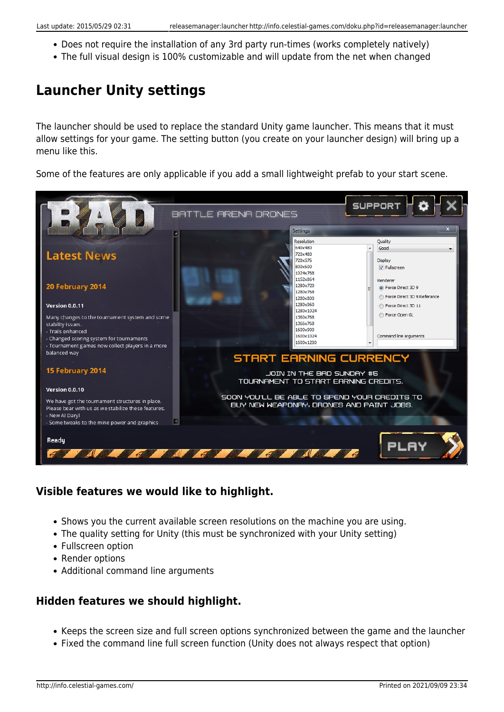- Does not require the installation of any 3rd party run-times (works completely natively)
- The full visual design is 100% customizable and will update from the net when changed

# **Launcher Unity settings**

The launcher should be used to replace the standard Unity game launcher. This means that it must allow settings for your game. The setting button (you create on your launcher design) will bring up a menu like this.

Some of the features are only applicable if you add a small lightweight prefab to your start scene.



### **Visible features we would like to highlight.**

- Shows you the current available screen resolutions on the machine you are using.
- The quality setting for Unity (this must be synchronized with your Unity setting)
- Fullscreen option
- Render options
- Additional command line arguments

#### **Hidden features we should highlight.**

- Keeps the screen size and full screen options synchronized between the game and the launcher
- Fixed the command line full screen function (Unity does not always respect that option)